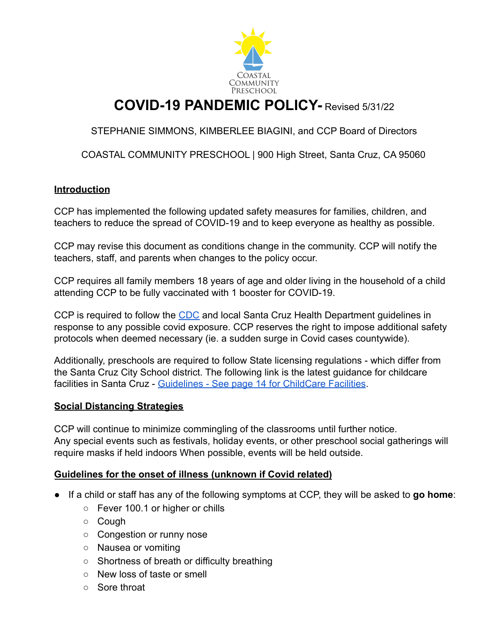

# **COVID-19 PANDEMIC POLICY-** Revised 5/31/22

STEPHANIE SIMMONS, KIMBERLEE BIAGINI, and CCP Board of Directors

COASTAL COMMUNITY PRESCHOOL | 900 High Street, Santa Cruz, CA 95060

#### **Introduction**

CCP has implemented the following updated safety measures for families, children, and teachers to reduce the spread of COVID-19 and to keep everyone as healthy as possible.

CCP may revise this document as conditions change in the community. CCP will notify the teachers, staff, and parents when changes to the policy occur.

CCP requires all family members 18 years of age and older living in the household of a child attending CCP to be fully vaccinated with 1 booster for COVID-19.

CCP is required to follow the [CDC](https://www.cdc.gov/coronavirus/2019-ncov/community/schools-childcare/child-care-guidance.html) and local Santa Cruz Health Department guidelines in response to any possible covid exposure. CCP reserves the right to impose additional safety protocols when deemed necessary (ie. a sudden surge in Covid cases countywide).

Additionally, preschools are required to follow State licensing regulations - which differ from the Santa Cruz City School district. The following link is the latest guidance for childcare facilities in Santa Cruz - [Guidelines - See page 14](https://docs.google.com/document/d/1ZgfOJ59ZiRAY-EC8vNEce6l_QskZHxtc7yfbL39QY9A/edit) for ChildCare Facilities.

#### **Social Distancing Strategies**

CCP will continue to minimize commingling of the classrooms until further notice. Any special events such as festivals, holiday events, or other preschool social gatherings will require masks if held indoors When possible, events will be held outside.

#### **Guidelines for the onset of illness (unknown if Covid related)**

- If a child or staff has any of the following symptoms at CCP, they will be asked to **go home**:
	- Fever 100.1 or higher or chills
	- Cough
	- Congestion or runny nose
	- Nausea or vomiting
	- Shortness of breath or difficulty breathing
	- New loss of taste or smell
	- Sore throat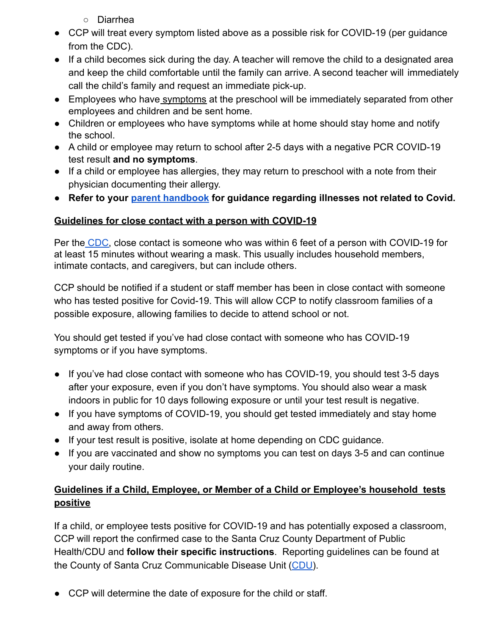- Diarrhea
- CCP will treat every symptom listed above as a possible risk for COVID-19 (per guidance from the CDC).
- If a child becomes sick during the day. A teacher will remove the child to a designated area and keep the child comfortable until the family can arrive. A second teacher will immediately call the child's family and request an immediate pick-up.
- Employees who have symptoms at the preschool will be immediately separated from other employees and children and be sent home.
- Children or employees who have symptoms while at home should stay home and notify the school.
- A child or employee may return to school after 2-5 days with a negative PCR COVID-19 test result **and no symptoms**.
- If a child or employee has allergies, they may return to preschool with a note from their physician documenting their allergy.
- **● Refer to your [parent handbook](https://www.coastalcommunitypreschool.org/wp-content/uploads/2022/06/CCP-PARENT-HANDBOOK-May-2022-updated.pdf) for guidance regarding illnesses not related to Covid.**

### **Guidelines for close contact with a person with COVID-19**

Per the [CDC,](https://www.cdc.gov/coronavirus/2019-ncov/community/schools-childcare/child-care-guidance.html) close contact is someone who was within 6 feet of a person with COVID-19 for at least 15 minutes without wearing a mask. This usually includes household members, intimate contacts, and caregivers, but can include others.

CCP should be notified if a student or staff member has been in close contact with someone who has tested positive for Covid-19. This will allow CCP to notify classroom families of a possible exposure, allowing families to decide to attend school or not.

You should get tested if you've had close contact with someone who has COVID-19 symptoms or if you have symptoms.

- If you've had close contact with someone who has COVID-19, you should test 3-5 days after your exposure, even if you don't have symptoms. You should also wear a mask indoors in public for 10 days following exposure or until your test result is negative.
- If you have symptoms of COVID-19, you should get tested immediately and stay home and away from others.
- If your test result is positive, isolate at home depending on CDC guidance.
- If you are vaccinated and show no symptoms you can test on days 3-5 and can continue your daily routine.

## **Guidelines if a Child, Employee, or Member of a Child or Employee's household tests positive**

If a child, or employee tests positive for COVID-19 and has potentially exposed a classroom, CCP will report the confirmed case to the Santa Cruz County Department of Public Health/CDU and **follow their specific instructions**. Reporting guidelines can be found at the County of Santa Cruz Communicable Disease Unit [\(CDU](http://santacruzhealth.org/HSAHome/HSADivisions/PublicHealth/CommunicableDiseaseControl.aspx)).

● CCP will determine the date of exposure for the child or staff.